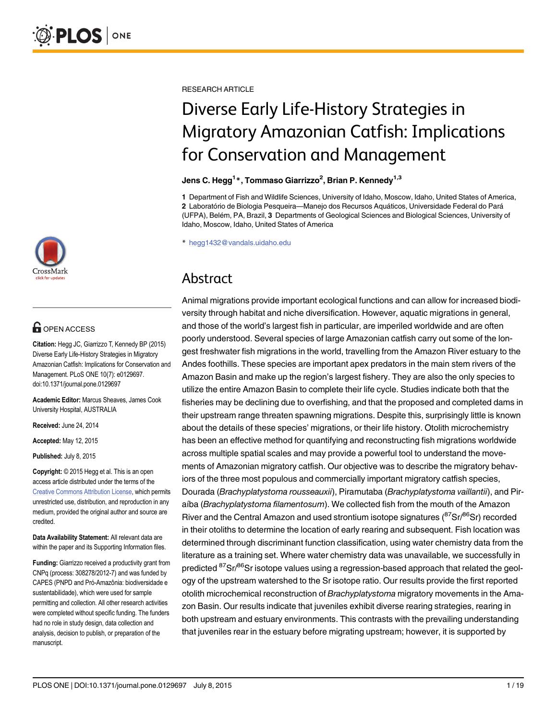

# **G** OPEN ACCESS

Citation: Hegg JC, Giarrizzo T, Kennedy BP (2015) Diverse Early Life-History Strategies in Migratory Amazonian Catfish: Implications for Conservation and Management. PLoS ONE 10(7): e0129697. doi:10.1371/journal.pone.0129697

Academic Editor: Marcus Sheaves, James Cook University Hospital, AUSTRALIA

Received: June 24, 2014

Accepted: May 12, 2015

Published: July 8, 2015

Copyright: © 2015 Hegg et al. This is an open access article distributed under the terms of the [Creative Commons Attribution License,](http://creativecommons.org/licenses/by/4.0/) which permits unrestricted use, distribution, and reproduction in any medium, provided the original author and source are credited.

Data Availability Statement: All relevant data are within the paper and its Supporting Information files.

Funding: Giarrizzo received a productivity grant from CNPq (process: 308278/2012-7) and was funded by CAPES (PNPD and Pró-Amazônia: biodiversidade e sustentabilidade), which were used for sample permitting and collection. All other research activities were completed without specific funding. The funders had no role in study design, data collection and analysis, decision to publish, or preparation of the manuscript.

RESEARCH ARTICLE

# Diverse Early Life-History Strategies in Migratory Amazonian Catfish: Implications for Conservation and Management

### Jens C. Hegg $^{1\,*}$ , Tommaso Giarrizzo $^2$ , Brian P. Kennedy $^{1,3}$

1 Department of Fish and Wildlife Sciences, University of Idaho, Moscow, Idaho, United States of America, 2 Laboratório de Biologia Pesqueira—Manejo dos Recursos Aquáticos, Universidade Federal do Pará (UFPA), Belém, PA, Brazil, 3 Departments of Geological Sciences and Biological Sciences, University of Idaho, Moscow, Idaho, United States of America

\* hegg1432@vandals.uidaho.edu

## Abstract

Animal migrations provide important ecological functions and can allow for increased biodiversity through habitat and niche diversification. However, aquatic migrations in general, and those of the world's largest fish in particular, are imperiled worldwide and are often poorly understood. Several species of large Amazonian catfish carry out some of the longest freshwater fish migrations in the world, travelling from the Amazon River estuary to the Andes foothills. These species are important apex predators in the main stem rivers of the Amazon Basin and make up the region's largest fishery. They are also the only species to utilize the entire Amazon Basin to complete their life cycle. Studies indicate both that the fisheries may be declining due to overfishing, and that the proposed and completed dams in their upstream range threaten spawning migrations. Despite this, surprisingly little is known about the details of these species' migrations, or their life history. Otolith microchemistry has been an effective method for quantifying and reconstructing fish migrations worldwide across multiple spatial scales and may provide a powerful tool to understand the movements of Amazonian migratory catfish. Our objective was to describe the migratory behaviors of the three most populous and commercially important migratory catfish species, Dourada (Brachyplatystoma rousseauxii), Piramutaba (Brachyplatystoma vaillantii), and Piraíba (Brachyplatystoma filamentosum). We collected fish from the mouth of the Amazon River and the Central Amazon and used strontium isotope signatures (<sup>87</sup>Sr/<sup>86</sup>Sr) recorded in their otoliths to determine the location of early rearing and subsequent. Fish location was determined through discriminant function classification, using water chemistry data from the literature as a training set. Where water chemistry data was unavailable, we successfully in predicted <sup>87</sup>Sr/<sup>86</sup>Sr isotope values using a regression-based approach that related the geology of the upstream watershed to the Sr isotope ratio. Our results provide the first reported otolith microchemical reconstruction of Brachyplatystoma migratory movements in the Amazon Basin. Our results indicate that juveniles exhibit diverse rearing strategies, rearing in both upstream and estuary environments. This contrasts with the prevailing understanding that juveniles rear in the estuary before migrating upstream; however, it is supported by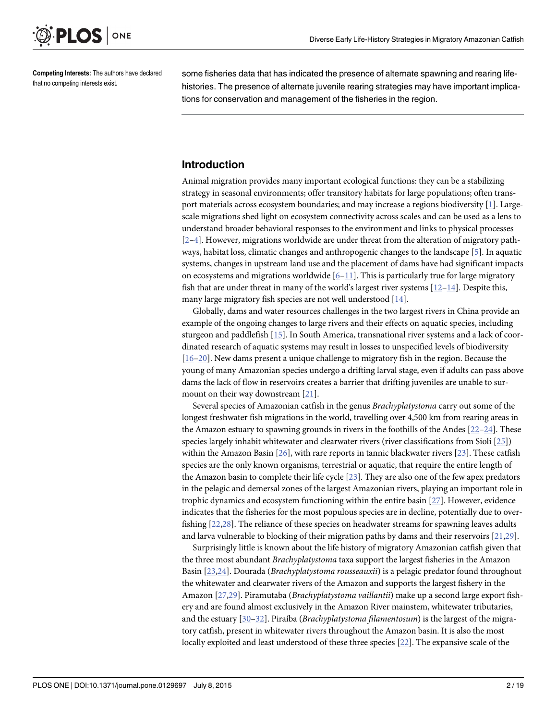<span id="page-1-0"></span>

Competing Interests: The authors have declared that no competing interests exist.

some fisheries data that has indicated the presence of alternate spawning and rearing lifehistories. The presence of alternate juvenile rearing strategies may have important implications for conservation and management of the fisheries in the region.

### Introduction

Animal migration provides many important ecological functions: they can be a stabilizing strategy in seasonal environments; offer transitory habitats for large populations; often transport materials across ecosystem boundaries; and may increase a regions biodiversity [\[1\]](#page-14-0). Largescale migrations shed light on ecosystem connectivity across scales and can be used as a lens to understand broader behavioral responses to the environment and links to physical processes  $[2-4]$  $[2-4]$  $[2-4]$  $[2-4]$ . However, migrations worldwide are under threat from the alteration of migratory pathways, habitat loss, climatic changes and anthropogenic changes to the landscape [[5](#page-14-0)]. In aquatic systems, changes in upstream land use and the placement of dams have had significant impacts on ecosystems and migrations worldwide  $[6-11]$  $[6-11]$  $[6-11]$ . This is particularly true for large migratory fish that are under threat in many of the world's largest river systems  $[12–14]$  $[12–14]$  $[12–14]$  $[12–14]$ . Despite this, many large migratory fish species are not well understood [[14\]](#page-15-0).

Globally, dams and water resources challenges in the two largest rivers in China provide an example of the ongoing changes to large rivers and their effects on aquatic species, including sturgeon and paddlefish [[15\]](#page-15-0). In South America, transnational river systems and a lack of coordinated research of aquatic systems may result in losses to unspecified levels of biodiversity [\[16](#page-15-0)–[20\]](#page-15-0). New dams present a unique challenge to migratory fish in the region. Because the young of many Amazonian species undergo a drifting larval stage, even if adults can pass above dams the lack of flow in reservoirs creates a barrier that drifting juveniles are unable to surmount on their way downstream [[21](#page-15-0)].

Several species of Amazonian catfish in the genus Brachyplatystoma carry out some of the longest freshwater fish migrations in the world, travelling over 4,500 km from rearing areas in the Amazon estuary to spawning grounds in rivers in the foothills of the Andes  $[22-24]$  $[22-24]$  $[22-24]$ . These species largely inhabit whitewater and clearwater rivers (river classifications from Sioli [\[25\]](#page-15-0)) within the Amazon Basin [\[26\]](#page-15-0), with rare reports in tannic blackwater rivers [[23\]](#page-15-0). These catfish species are the only known organisms, terrestrial or aquatic, that require the entire length of the Amazon basin to complete their life cycle  $[23]$  $[23]$  $[23]$ . They are also one of the few apex predators in the pelagic and demersal zones of the largest Amazonian rivers, playing an important role in trophic dynamics and ecosystem functioning within the entire basin [[27](#page-16-0)]. However, evidence indicates that the fisheries for the most populous species are in decline, potentially due to overfishing [[22](#page-15-0),[28](#page-16-0)]. The reliance of these species on headwater streams for spawning leaves adults and larva vulnerable to blocking of their migration paths by dams and their reservoirs  $[21,29]$  $[21,29]$  $[21,29]$  $[21,29]$  $[21,29]$ .

Surprisingly little is known about the life history of migratory Amazonian catfish given that the three most abundant Brachyplatystoma taxa support the largest fisheries in the Amazon Basin [[23,24\]](#page-15-0). Dourada (Brachyplatystoma rousseauxii) is a pelagic predator found throughout the whitewater and clearwater rivers of the Amazon and supports the largest fishery in the Amazon [[27,29](#page-16-0)]. Piramutaba (Brachyplatystoma vaillantii) make up a second large export fishery and are found almost exclusively in the Amazon River mainstem, whitewater tributaries, and the estuary  $[30-32]$  $[30-32]$  $[30-32]$ . Piraíba (*Brachyplatystoma filamentosum*) is the largest of the migratory catfish, present in whitewater rivers throughout the Amazon basin. It is also the most locally exploited and least understood of these three species [\[22\]](#page-15-0). The expansive scale of the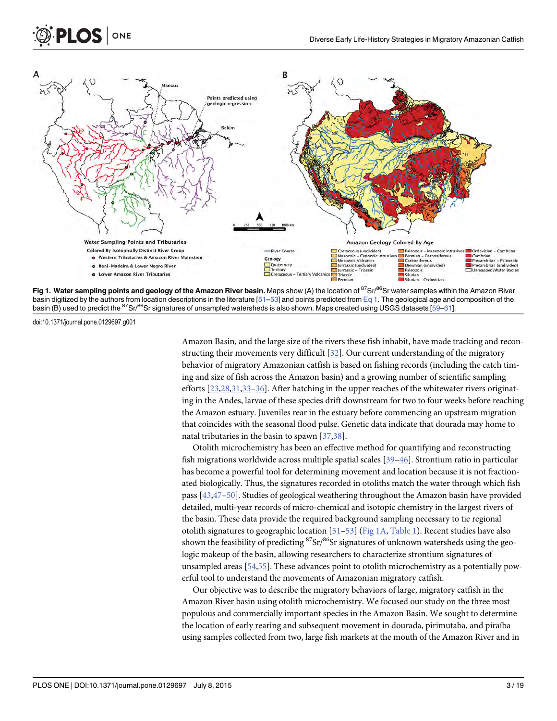

Fig 1. Water sampling points and geology of the Amazon River basin. Maps show (A) the location of <sup>87</sup>Sr/<sup>86</sup>Sr water samples within the Amazon River basin digitized by the authors from location descriptions in the literature  $[51–53]$  $[51–53]$  $[51–53]$  $[51–53]$  and points predicted from  $Eq 1$ . The geological age and composition of the basin (B) used to predict the <sup>87</sup>Sr/<sup>86</sup>Sr signatures of unsampled watersheds is also shown. Maps created using USGS datasets [\[59](#page-17-0)–[61](#page-17-0)].

doi:10.1371/journal.pone.0129697.g001

<span id="page-2-0"></span> $PLOS$  ONE

Amazon Basin, and the large size of the rivers these fish inhabit, have made tracking and reconstructing their movements very difficult [\[32\]](#page-16-0). Our current understanding of the migratory behavior of migratory Amazonian catfish is based on fishing records (including the catch timing and size of fish across the Amazon basin) and a growing number of scientific sampling efforts [[23,](#page-15-0)[28](#page-16-0),[31,33](#page-16-0)–[36\]](#page-16-0). After hatching in the upper reaches of the whitewater rivers originating in the Andes, larvae of these species drift downstream for two to four weeks before reaching the Amazon estuary. Juveniles rear in the estuary before commencing an upstream migration that coincides with the seasonal flood pulse. Genetic data indicate that dourada may home to natal tributaries in the basin to spawn [[37,38\]](#page-16-0).

Otolith microchemistry has been an effective method for quantifying and reconstructing fish migrations worldwide across multiple spatial scales [\[39](#page-16-0)–[46\]](#page-17-0). Strontium ratio in particular has become a powerful tool for determining movement and location because it is not fractionated biologically. Thus, the signatures recorded in otoliths match the water through which fish pass [[43](#page-16-0)[,47](#page-17-0)–[50\]](#page-17-0). Studies of geological weathering throughout the Amazon basin have provided detailed, multi-year records of micro-chemical and isotopic chemistry in the largest rivers of the basin. These data provide the required background sampling necessary to tie regional otolith signatures to geographic location [\[51](#page-17-0)-[53](#page-17-0)] (Fig 1A, [Table 1](#page-3-0)). Recent studies have also shown the feasibility of predicting  ${}^{87}Sr/{}^{86}Sr$  signatures of unknown watersheds using the geologic makeup of the basin, allowing researchers to characterize strontium signatures of unsampled areas [[54,55](#page-17-0)]. These advances point to otolith microchemistry as a potentially powerful tool to understand the movements of Amazonian migratory catfish.

Our objective was to describe the migratory behaviors of large, migratory catfish in the Amazon River basin using otolith microchemistry. We focused our study on the three most populous and commercially important species in the Amazon Basin. We sought to determine the location of early rearing and subsequent movement in dourada, pirimutaba, and piraíba using samples collected from two, large fish markets at the mouth of the Amazon River and in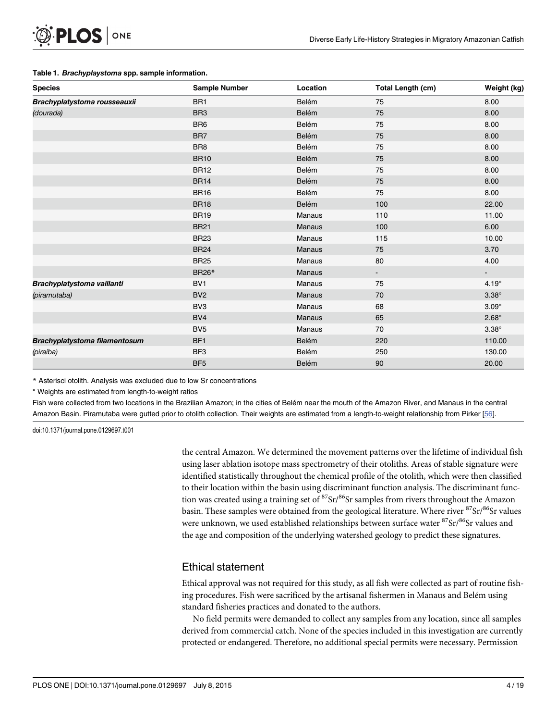<span id="page-3-0"></span>

|  | Table 1. Brachyplaystoma spp. sample information. |  |  |
|--|---------------------------------------------------|--|--|
|--|---------------------------------------------------|--|--|

| <b>Species</b>                | <b>Sample Number</b> | Location      | <b>Total Length (cm)</b> | Weight (kg)              |
|-------------------------------|----------------------|---------------|--------------------------|--------------------------|
| Brachyplatystoma rousseauxii  | BR <sub>1</sub>      | Belém         | 75                       | 8.00                     |
| (dourada)                     | BR <sub>3</sub>      | Belém         | 75                       | 8.00                     |
|                               | BR <sub>6</sub>      | Belém         | 75                       | 8.00                     |
|                               | BR7                  | Belém         | 75                       | 8.00                     |
|                               | BR8                  | Belém         | 75                       | 8.00                     |
|                               | <b>BR10</b>          | Belém         | 75                       | 8.00                     |
|                               | <b>BR12</b>          | Belém         | 75                       | 8.00                     |
|                               | <b>BR14</b>          | Belém         | 75                       | 8.00                     |
|                               | <b>BR16</b>          | Belém         | 75                       | 8.00                     |
|                               | <b>BR18</b>          | Belém         | 100                      | 22.00                    |
|                               | <b>BR19</b>          | Manaus        | 110                      | 11.00                    |
|                               | <b>BR21</b>          | <b>Manaus</b> | 100                      | 6.00                     |
|                               | <b>BR23</b>          | <b>Manaus</b> | 115                      | 10.00                    |
|                               | <b>BR24</b>          | <b>Manaus</b> | 75                       | 3.70                     |
|                               | <b>BR25</b>          | Manaus        | 80                       | 4.00                     |
|                               | <b>BR26*</b>         | <b>Manaus</b> | $\blacksquare$           | $\overline{\phantom{a}}$ |
| Brachyplatystoma vaillanti    | BV <sub>1</sub>      | Manaus        | 75                       | $4.19^\circ$             |
| (piramutaba)                  | BV <sub>2</sub>      | <b>Manaus</b> | 70                       | $3.38^\circ$             |
|                               | BV <sub>3</sub>      | Manaus        | 68                       | $3.09^\circ$             |
|                               | BV4                  | Manaus        | 65                       | $2.68^\circ$             |
|                               | BV <sub>5</sub>      | Manaus        | 70                       | $3.38^\circ$             |
| Brachyplatystoma filamentosum | BF <sub>1</sub>      | Belém         | 220                      | 110.00                   |
| (piraíba)                     | BF3                  | Belém         | 250                      | 130.00                   |
|                               | BF <sub>5</sub>      | Belém         | 90                       | 20.00                    |

\* Asterisci otolith. Analysis was excluded due to low Sr concentrations

° Weights are estimated from length-to-weight ratios

Fish were collected from two locations in the Brazilian Amazon; in the cities of Belém near the mouth of the Amazon River, and Manaus in the central Amazon Basin. Piramutaba were gutted prior to otolith collection. Their weights are estimated from a length-to-weight relationship from Pirker [[56\]](#page-17-0).

doi:10.1371/journal.pone.0129697.t001

the central Amazon. We determined the movement patterns over the lifetime of individual fish using laser ablation isotope mass spectrometry of their otoliths. Areas of stable signature were identified statistically throughout the chemical profile of the otolith, which were then classified to their location within the basin using discriminant function analysis. The discriminant function was created using a training set of  $87\text{Sr}/86\text{Sr}$  samples from rivers throughout the Amazon basin. These samples were obtained from the geological literature. Where river  ${}^{87}Sr/{}^{86}Sr$  values were unknown, we used established relationships between surface water <sup>87</sup>Sr/<sup>86</sup>Sr values and the age and composition of the underlying watershed geology to predict these signatures.

### Ethical statement

Ethical approval was not required for this study, as all fish were collected as part of routine fishing procedures. Fish were sacrificed by the artisanal fishermen in Manaus and Belém using standard fisheries practices and donated to the authors.

No field permits were demanded to collect any samples from any location, since all samples derived from commercial catch. None of the species included in this investigation are currently protected or endangered. Therefore, no additional special permits were necessary. Permission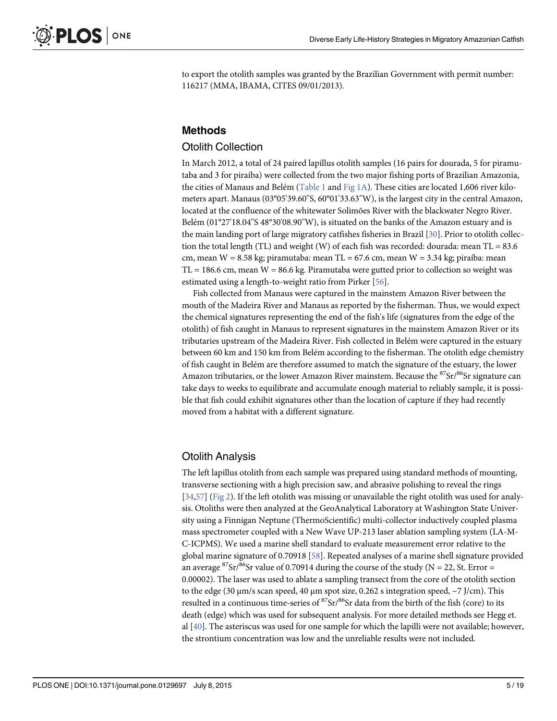<span id="page-4-0"></span>to export the otolith samples was granted by the Brazilian Government with permit number: 116217 (MMA, IBAMA, CITES 09/01/2013).

### Methods

#### Otolith Collection

In March 2012, a total of 24 paired lapillus otolith samples (16 pairs for dourada, 5 for piramutaba and 3 for piraíba) were collected from the two major fishing ports of Brazilian Amazonia, the cities of Manaus and Belém [\(Table 1](#page-3-0) and [Fig 1A\)](#page-2-0). These cities are located 1,606 river kilometers apart. Manaus (03°05'39.60"S, 60°01'33.63"W), is the largest city in the central Amazon, located at the confluence of the whitewater Solimões River with the blackwater Negro River. Belém (01°27'18.04''S 48°30'08.90''W), is situated on the banks of the Amazon estuary and is the main landing port of large migratory catfishes fisheries in Brazil [\[30\]](#page-16-0). Prior to otolith collection the total length (TL) and weight (W) of each fish was recorded: dourada: mean  $TL = 83.6$ cm, mean  $W = 8.58$  kg; piramutaba: mean TL = 67.6 cm, mean  $W = 3.34$  kg; piraíba: mean  $TL = 186.6$  cm, mean  $W = 86.6$  kg. Piramutaba were gutted prior to collection so weight was estimated using a length-to-weight ratio from Pirker [[56](#page-17-0)].

Fish collected from Manaus were captured in the mainstem Amazon River between the mouth of the Madeira River and Manaus as reported by the fisherman. Thus, we would expect the chemical signatures representing the end of the fish's life (signatures from the edge of the otolith) of fish caught in Manaus to represent signatures in the mainstem Amazon River or its tributaries upstream of the Madeira River. Fish collected in Belém were captured in the estuary between 60 km and 150 km from Belém according to the fisherman. The otolith edge chemistry of fish caught in Belém are therefore assumed to match the signature of the estuary, the lower Amazon tributaries, or the lower Amazon River mainstem. Because the  $87Sr/86Sr$  signature can take days to weeks to equilibrate and accumulate enough material to reliably sample, it is possible that fish could exhibit signatures other than the location of capture if they had recently moved from a habitat with a different signature.

### Otolith Analysis

The left lapillus otolith from each sample was prepared using standard methods of mounting, transverse sectioning with a high precision saw, and abrasive polishing to reveal the rings [\[34](#page-16-0)[,57\]](#page-17-0) ([Fig 2](#page-5-0)). If the left otolith was missing or unavailable the right otolith was used for analysis. Otoliths were then analyzed at the GeoAnalytical Laboratory at Washington State University using a Finnigan Neptune (ThermoScientific) multi-collector inductively coupled plasma mass spectrometer coupled with a New Wave UP-213 laser ablation sampling system (LA-M-C-ICPMS). We used a marine shell standard to evaluate measurement error relative to the global marine signature of 0.70918 [\[58\]](#page-17-0). Repeated analyses of a marine shell signature provided an average <sup>87</sup>Sr/<sup>86</sup>Sr value of 0.70914 during the course of the study (N = 22, St. Error = 0.00002). The laser was used to ablate a sampling transect from the core of the otolith section to the edge (30 μm/s scan speed, 40 μm spot size, 0.262 s integration speed,  $\sim$ 7 J/cm). This resulted in a continuous time-series of  ${}^{87}Sr/{}^{86}Sr$  data from the birth of the fish (core) to its death (edge) which was used for subsequent analysis. For more detailed methods see Hegg et. al [\[40](#page-16-0)]. The asteriscus was used for one sample for which the lapilli were not available; however, the strontium concentration was low and the unreliable results were not included.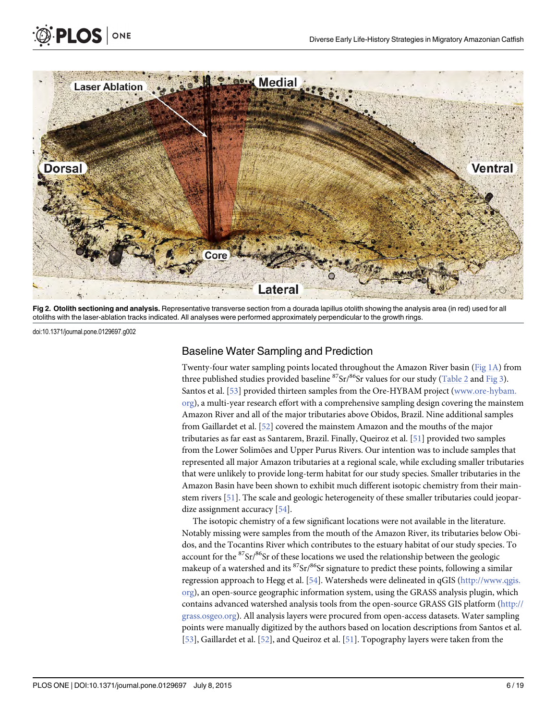

[Fig 2. O](#page-4-0)tolith sectioning and analysis. Representative transverse section from a dourada lapillus otolith showing the analysis area (in red) used for all otoliths with the laser-ablation tracks indicated. All analyses were performed approximately perpendicular to the growth rings.

doi:10.1371/journal.pone.0129697.g002

<span id="page-5-0"></span>**PLOS** ONE

### Baseline Water Sampling and Prediction

Twenty-four water sampling points located throughout the Amazon River basin ([Fig 1A](#page-2-0)) from three published studies provided baseline  ${}^{87}Sr/{}^{86}Sr$  values for our study ([Table 2](#page-6-0) and [Fig 3\)](#page-8-0). Santos et al. [\[53](#page-17-0)] provided thirteen samples from the Ore-HYBAM project [\(www.ore-hybam.](http://www.ore-hybam.org/) [org](http://www.ore-hybam.org/)), a multi-year research effort with a comprehensive sampling design covering the mainstem Amazon River and all of the major tributaries above Obidos, Brazil. Nine additional samples from Gaillardet et al. [[52](#page-17-0)] covered the mainstem Amazon and the mouths of the major tributaries as far east as Santarem, Brazil. Finally, Queiroz et al. [\[51\]](#page-17-0) provided two samples from the Lower Solimões and Upper Purus Rivers. Our intention was to include samples that represented all major Amazon tributaries at a regional scale, while excluding smaller tributaries that were unlikely to provide long-term habitat for our study species. Smaller tributaries in the Amazon Basin have been shown to exhibit much different isotopic chemistry from their mainstem rivers [\[51\]](#page-17-0). The scale and geologic heterogeneity of these smaller tributaries could jeopar-dize assignment accuracy [[54\]](#page-17-0).

The isotopic chemistry of a few significant locations were not available in the literature. Notably missing were samples from the mouth of the Amazon River, its tributaries below Obidos, and the Tocantins River which contributes to the estuary habitat of our study species. To account for the  $87\text{Sr}/86\text{Sr}$  of these locations we used the relationship between the geologic makeup of a watershed and its  ${}^{87}Sr/{}^{86}Sr$  signature to predict these points, following a similar regression approach to Hegg et al. [[54](#page-17-0)]. Watersheds were delineated in qGIS [\(http://www.qgis.](http://www.qgis.org/) [org](http://www.qgis.org/)), an open-source geographic information system, using the GRASS analysis plugin, which contains advanced watershed analysis tools from the open-source GRASS GIS platform [\(http://](http://grass.osgeo.org/) [grass.osgeo.org\)](http://grass.osgeo.org/). All analysis layers were procured from open-access datasets. Water sampling points were manually digitized by the authors based on location descriptions from Santos et al. [\[53](#page-17-0)], Gaillardet et al. [[52](#page-17-0)], and Queiroz et al. [[51](#page-17-0)]. Topography layers were taken from the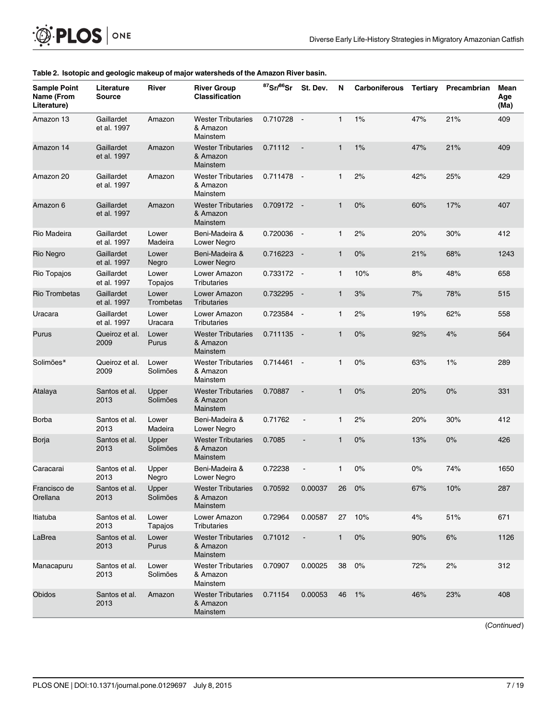<span id="page-6-0"></span>

| <b>Sample Point</b><br>Name (From | Literature<br><b>Source</b> | River              | <b>River Group</b><br><b>Classification</b>       | $87$ Sr/ $86$ Sr | St. Dev.                 | N            | Carboniferous | Tertiary | Precambrian | Mean<br>Age |
|-----------------------------------|-----------------------------|--------------------|---------------------------------------------------|------------------|--------------------------|--------------|---------------|----------|-------------|-------------|
| Literature)<br>Amazon 13          | Gaillardet<br>et al. 1997   | Amazon             | <b>Wester Tributaries</b><br>& Amazon             | $0.710728 -$     |                          | $\mathbf{1}$ | 1%            | 47%      | 21%         | (Ma)<br>409 |
|                                   |                             |                    | Mainstem                                          |                  |                          |              |               |          |             |             |
| Amazon 14                         | Gaillardet<br>et al. 1997   | Amazon             | <b>Wester Tributaries</b><br>& Amazon<br>Mainstem | 0.71112          | $\overline{\phantom{a}}$ | $\mathbf{1}$ | 1%            | 47%      | 21%         | 409         |
| Amazon 20                         | Gaillardet<br>et al. 1997   | Amazon             | <b>Wester Tributaries</b><br>& Amazon<br>Mainstem | $0.711478 -$     |                          | $\mathbf{1}$ | 2%            | 42%      | 25%         | 429         |
| Amazon 6                          | Gaillardet<br>et al. 1997   | Amazon             | <b>Wester Tributaries</b><br>& Amazon<br>Mainstem | $0.709172 -$     |                          | $\mathbf{1}$ | 0%            | 60%      | 17%         | 407         |
| Rio Madeira                       | Gaillardet<br>et al. 1997   | Lower<br>Madeira   | Beni-Madeira &<br>Lower Negro                     | 0.720036         | $\sim$                   | $\mathbf{1}$ | 2%            | 20%      | 30%         | 412         |
| Rio Negro                         | Gaillardet<br>et al. 1997   | Lower<br>Negro     | Beni-Madeira &<br>Lower Negro                     | 0.716223         | $\sim$                   | $\mathbf{1}$ | 0%            | 21%      | 68%         | 1243        |
| Rio Topajos                       | Gaillardet<br>et al. 1997   | Lower<br>Topajos   | Lower Amazon<br>Tributaries                       | 0.733172 -       |                          | $\mathbf{1}$ | 10%           | 8%       | 48%         | 658         |
| Rio Trombetas                     | Gaillardet<br>et al. 1997   | Lower<br>Trombetas | Lower Amazon<br>Tributaries                       | 0.732295         | $\sim$                   | $\mathbf{1}$ | 3%            | 7%       | 78%         | 515         |
| Uracara                           | Gaillardet<br>et al. 1997   | Lower<br>Uracara   | Lower Amazon<br>Tributaries                       | 0.723584         | $\sim$                   | $\mathbf{1}$ | 2%            | 19%      | 62%         | 558         |
| Purus                             | Queiroz et al.<br>2009      | Lower<br>Purus     | <b>Wester Tributaries</b><br>& Amazon<br>Mainstem | 0.711135         | $\sim$                   | $\mathbf{1}$ | 0%            | 92%      | 4%          | 564         |
| Solimões*                         | Queiroz et al.<br>2009      | Lower<br>Solimões  | <b>Wester Tributaries</b><br>& Amazon<br>Mainstem | $0.714461 -$     |                          | $\mathbf{1}$ | 0%            | 63%      | 1%          | 289         |
| Atalaya                           | Santos et al.<br>2013       | Upper<br>Solimões  | <b>Wester Tributaries</b><br>& Amazon<br>Mainstem | 0.70887          |                          | $\mathbf{1}$ | 0%            | 20%      | 0%          | 331         |
| Borba                             | Santos et al.<br>2013       | Lower<br>Madeira   | Beni-Madeira &<br>Lower Negro                     | 0.71762          | $\blacksquare$           | $\mathbf{1}$ | 2%            | 20%      | 30%         | 412         |
| Borja                             | Santos et al.<br>2013       | Upper<br>Solimões  | <b>Wester Tributaries</b><br>& Amazon<br>Mainstem | 0.7085           | $\overline{\phantom{a}}$ | 1            | 0%            | 13%      | $0\%$       | 426         |
| Caracarai                         | Santos et al.<br>2013       | Upper<br>Negro     | Beni-Madeira &<br>Lower Negro                     | 0.72238          |                          | $\mathbf{1}$ | 0%            | $0\%$    | 74%         | 1650        |
| Francisco de<br>Orellana          | Santos et al.<br>2013       | Upper<br>Solimões  | <b>Wester Tributaries</b><br>& Amazon<br>Mainstem | 0.70592          | 0.00037                  | 26           | $0\%$         | 67%      | 10%         | 287         |
| Itiatuba                          | Santos et al.<br>2013       | Lower<br>Tapajos   | Lower Amazon<br>Tributaries                       | 0.72964          | 0.00587                  | 27           | 10%           | 4%       | 51%         | 671         |
| LaBrea                            | Santos et al.<br>2013       | Lower<br>Purus     | <b>Wester Tributaries</b><br>& Amazon<br>Mainstem | 0.71012          | $\overline{\phantom{a}}$ | $\mathbf{1}$ | $0\%$         | 90%      | 6%          | 1126        |
| Manacapuru                        | Santos et al.<br>2013       | Lower<br>Solimões  | <b>Wester Tributaries</b><br>& Amazon<br>Mainstem | 0.70907          | 0.00025                  | 38           | 0%            | 72%      | 2%          | 312         |
| Obidos                            | Santos et al.<br>2013       | Amazon             | <b>Wester Tributaries</b><br>& Amazon<br>Mainstem | 0.71154          | 0.00053                  | 46           | $1\%$         | 46%      | 23%         | 408         |

#### [Table 2.](#page-5-0) Isotopic and geologic makeup of major watersheds of the Amazon River basin.

(Continued)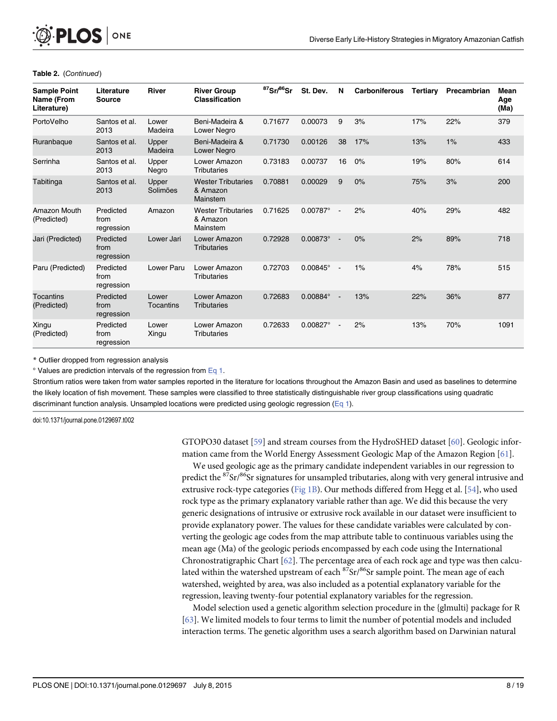<span id="page-7-0"></span>

| <b>Sample Point</b><br>Name (From<br>Literature) | Literature<br><b>Source</b>     | <b>River</b>       | <b>River Group</b><br><b>Classification</b>       | <sup>87</sup> Sr/ <sup>86</sup> Sr | St. Dev.          | N      | <b>Carboniferous</b> | Tertiary | Precambrian | Mean<br>Age<br>(Ma) |
|--------------------------------------------------|---------------------------------|--------------------|---------------------------------------------------|------------------------------------|-------------------|--------|----------------------|----------|-------------|---------------------|
| PortoVelho                                       | Santos et al.<br>2013           | Lower<br>Madeira   | Beni-Madeira &<br><b>Lower Negro</b>              | 0.71677                            | 0.00073           | 9      | 3%                   | 17%      | 22%         | 379                 |
| Ruranbaque                                       | Santos et al.<br>2013           | Upper<br>Madeira   | Beni-Madeira &<br>Lower Negro                     | 0.71730                            | 0.00126           | 38     | 17%                  | 13%      | 1%          | 433                 |
| Serrinha                                         | Santos et al.<br>2013           | Upper<br>Negro     | Lower Amazon<br><b>Tributaries</b>                | 0.73183                            | 0.00737           | 16     | 0%                   | 19%      | 80%         | 614                 |
| Tabitinga                                        | Santos et al.<br>2013           | Upper<br>Solimões  | <b>Wester Tributaries</b><br>& Amazon<br>Mainstem | 0.70881                            | 0.00029           | 9      | 0%                   | 75%      | 3%          | 200                 |
| Amazon Mouth<br>(Predicted)                      | Predicted<br>from<br>regression | Amazon             | <b>Wester Tributaries</b><br>& Amazon<br>Mainstem | 0.71625                            | 0.00787°          | $\sim$ | 2%                   | 40%      | 29%         | 482                 |
| Jari (Predicted)                                 | Predicted<br>from<br>regression | Lower Jari         | Lower Amazon<br><b>Tributaries</b>                | 0.72928                            | $0.00873^{\circ}$ | $\sim$ | 0%                   | 2%       | 89%         | 718                 |
| Paru (Predicted)                                 | Predicted<br>from<br>regression | Lower Paru         | Lower Amazon<br>Tributaries                       | 0.72703                            | $0.00845^{\circ}$ | $\sim$ | 1%                   | 4%       | 78%         | 515                 |
| <b>Tocantins</b><br>(Predicted)                  | Predicted<br>from<br>regression | Lower<br>Tocantins | Lower Amazon<br>Tributaries                       | 0.72683                            | $0.00884^{\circ}$ |        | 13%                  | 22%      | 36%         | 877                 |
| Xingu<br>(Predicted)                             | Predicted<br>from<br>regression | Lower<br>Xingu     | Lower Amazon<br><b>Tributaries</b>                | 0.72633                            | $0.00827^{\circ}$ |        | 2%                   | 13%      | 70%         | 1091                |

#### Table 2. (Continued)

\* Outlier dropped from regression analysis

 $\degree$  Values are prediction intervals of the regression from  $Eq 1$ .

Strontium ratios were taken from water samples reported in the literature for locations throughout the Amazon Basin and used as baselines to determine the likely location of fish movement. These samples were classified to three statistically distinguishable river group classifications using quadratic discriminant function analysis. Unsampled locations were predicted using geologic regression ([Eq 1](#page-9-0)).

doi:10.1371/journal.pone.0129697.t002

GTOPO30 dataset [[59\]](#page-17-0) and stream courses from the HydroSHED dataset [[60](#page-17-0)]. Geologic information came from the World Energy Assessment Geologic Map of the Amazon Region [\[61\]](#page-17-0).

We used geologic age as the primary candidate independent variables in our regression to predict the  ${}^{87}Sr/{}^{86}Sr$  signatures for unsampled tributaries, along with very general intrusive and extrusive rock-type categories [\(Fig 1B\)](#page-2-0). Our methods differed from Hegg et al. [[54\]](#page-17-0), who used rock type as the primary explanatory variable rather than age. We did this because the very generic designations of intrusive or extrusive rock available in our dataset were insufficient to provide explanatory power. The values for these candidate variables were calculated by converting the geologic age codes from the map attribute table to continuous variables using the mean age (Ma) of the geologic periods encompassed by each code using the International Chronostratigraphic Chart [\[62\]](#page-17-0). The percentage area of each rock age and type was then calculated within the watershed upstream of each  ${}^{87}Sr/{}^{86}Sr$  sample point. The mean age of each watershed, weighted by area, was also included as a potential explanatory variable for the regression, leaving twenty-four potential explanatory variables for the regression.

Model selection used a genetic algorithm selection procedure in the {glmulti} package for R [\[63](#page-17-0)]. We limited models to four terms to limit the number of potential models and included interaction terms. The genetic algorithm uses a search algorithm based on Darwinian natural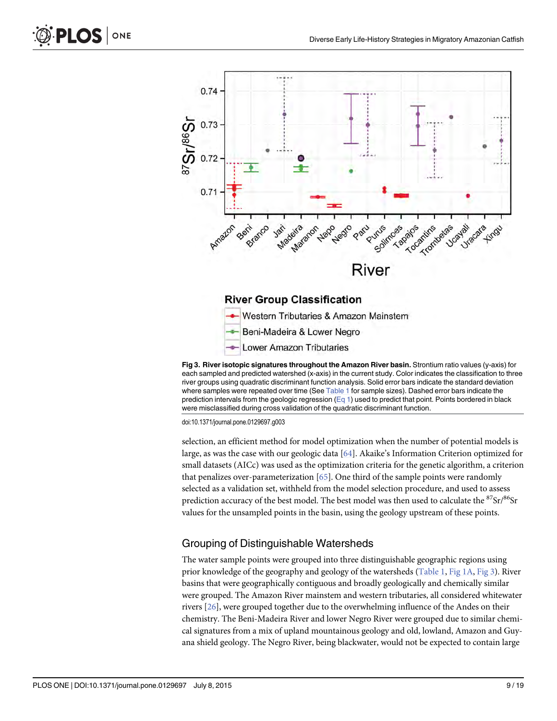<span id="page-8-0"></span>

[Fig 3. R](#page-5-0)iver isotopic signatures throughout the Amazon River basin. Strontium ratio values (y-axis) for each sampled and predicted watershed (x-axis) in the current study. Color indicates the classification to three river groups using quadratic discriminant function analysis. Solid error bars indicate the standard deviation where samples were repeated over time (See [Table 1](#page-3-0) for sample sizes). Dashed error bars indicate the prediction intervals from the geologic regression  $(\text{Eq 1})$  used to predict that point. Points bordered in black were misclassified during cross validation of the quadratic discriminant function.

doi:10.1371/journal.pone.0129697.g003

selection, an efficient method for model optimization when the number of potential models is large, as was the case with our geologic data [[64](#page-17-0)]. Akaike's Information Criterion optimized for small datasets (AICc) was used as the optimization criteria for the genetic algorithm, a criterion that penalizes over-parameterization [\[65\]](#page-17-0). One third of the sample points were randomly selected as a validation set, withheld from the model selection procedure, and used to assess prediction accuracy of the best model. The best model was then used to calculate the  ${}^{87}Sr/{}^{86}Sr$ values for the unsampled points in the basin, using the geology upstream of these points.

### Grouping of Distinguishable Watersheds

The water sample points were grouped into three distinguishable geographic regions using prior knowledge of the geography and geology of the watersheds [\(Table 1](#page-3-0), [Fig 1A](#page-2-0), Fig 3). River basins that were geographically contiguous and broadly geologically and chemically similar were grouped. The Amazon River mainstem and western tributaries, all considered whitewater rivers [[26\]](#page-15-0), were grouped together due to the overwhelming influence of the Andes on their chemistry. The Beni-Madeira River and lower Negro River were grouped due to similar chemical signatures from a mix of upland mountainous geology and old, lowland, Amazon and Guyana shield geology. The Negro River, being blackwater, would not be expected to contain large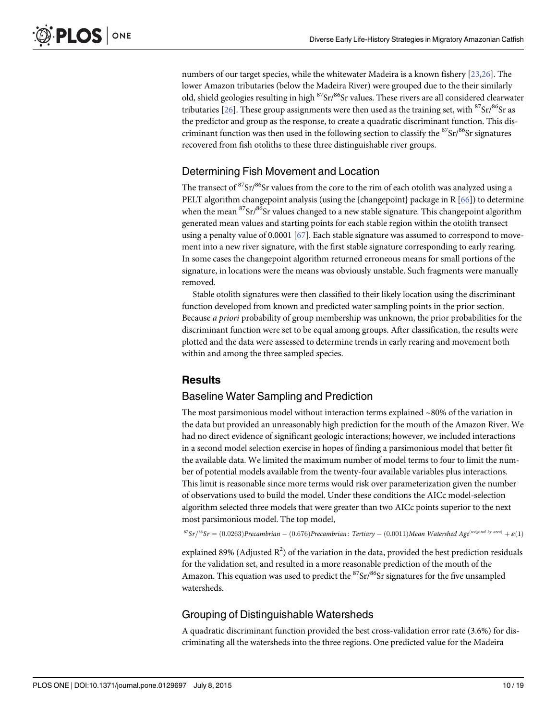<span id="page-9-0"></span>numbers of our target species, while the whitewater Madeira is a known fishery [[23](#page-15-0),[26](#page-15-0)]. The lower Amazon tributaries (below the Madeira River) were grouped due to the their similarly old, shield geologies resulting in high <sup>87</sup>Sr/<sup>86</sup>Sr values. These rivers are all considered clearwater tributaries  $[26]$  $[26]$  $[26]$ . These group assignments were then used as the training set, with  ${}^{87}Sr/{}^{86}Sr$  as the predictor and group as the response, to create a quadratic discriminant function. This discriminant function was then used in the following section to classify the  $87Sr/86Sr$  signatures recovered from fish otoliths to these three distinguishable river groups.

### Determining Fish Movement and Location

The transect of <sup>87</sup>Sr/<sup>86</sup>Sr values from the core to the rim of each otolith was analyzed using a PELT algorithm changepoint analysis (using the {changepoint} package in R  $[66]$  $[66]$  $[66]$ ) to determine when the mean  ${}^{87}Sr/{}^{86}Sr$  values changed to a new stable signature. This changepoint algorithm generated mean values and starting points for each stable region within the otolith transect using a penalty value of 0.0001 [[67](#page-18-0)]. Each stable signature was assumed to correspond to movement into a new river signature, with the first stable signature corresponding to early rearing. In some cases the changepoint algorithm returned erroneous means for small portions of the signature, in locations were the means was obviously unstable. Such fragments were manually removed.

Stable otolith signatures were then classified to their likely location using the discriminant function developed from known and predicted water sampling points in the prior section. Because a priori probability of group membership was unknown, the prior probabilities for the discriminant function were set to be equal among groups. After classification, the results were plotted and the data were assessed to determine trends in early rearing and movement both within and among the three sampled species.

### **Results**

### Baseline Water Sampling and Prediction

The most parsimonious model without interaction terms explained  $\sim80\%$  of the variation in the data but provided an unreasonably high prediction for the mouth of the Amazon River. We had no direct evidence of significant geologic interactions; however, we included interactions in a second model selection exercise in hopes of finding a parsimonious model that better fit the available data. We limited the maximum number of model terms to four to limit the number of potential models available from the twenty-four available variables plus interactions. This limit is reasonable since more terms would risk over parameterization given the number of observations used to build the model. Under these conditions the AICc model-selection algorithm selected three models that were greater than two AICc points superior to the next most parsimonious model. The top model,

 ${}^{87}Sr/{}^{86}Sr=(0.0263)Precambrian-(0.676)Precambrian: Tertiary-(0.0011)Mean\ Water shed\ Age<sup>(weighted by area)</sup> + \mathcal{E}(1)$ 

explained 89% (Adjusted  $R^2$ ) of the variation in the data, provided the best prediction residuals for the validation set, and resulted in a more reasonable prediction of the mouth of the Amazon. This equation was used to predict the  ${}^{87}Sr/{}^{86}Sr$  signatures for the five unsampled watersheds.

### Grouping of Distinguishable Watersheds

A quadratic discriminant function provided the best cross-validation error rate (3.6%) for discriminating all the watersheds into the three regions. One predicted value for the Madeira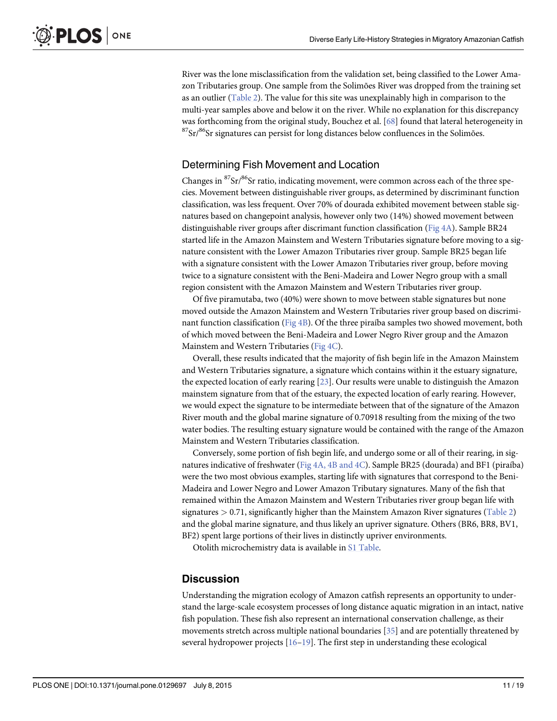<span id="page-10-0"></span>River was the lone misclassification from the validation set, being classified to the Lower Amazon Tributaries group. One sample from the Solimões River was dropped from the training set as an outlier [\(Table 2](#page-6-0)). The value for this site was unexplainably high in comparison to the multi-year samples above and below it on the river. While no explanation for this discrepancy was forthcoming from the original study, Bouchez et al. [[68](#page-18-0)] found that lateral heterogeneity in  $87$ Sr/ $86$ Sr signatures can persist for long distances below confluences in the Solimões.

### Determining Fish Movement and Location

Changes in  ${}^{87}Sr/{}^{86}Sr$  ratio, indicating movement, were common across each of the three species. Movement between distinguishable river groups, as determined by discriminant function classification, was less frequent. Over 70% of dourada exhibited movement between stable signatures based on changepoint analysis, however only two (14%) showed movement between distinguishable river groups after discrimant function classification ([Fig 4A\)](#page-12-0). Sample BR24 started life in the Amazon Mainstem and Western Tributaries signature before moving to a signature consistent with the Lower Amazon Tributaries river group. Sample BR25 began life with a signature consistent with the Lower Amazon Tributaries river group, before moving twice to a signature consistent with the Beni-Madeira and Lower Negro group with a small region consistent with the Amazon Mainstem and Western Tributaries river group.

Of five piramutaba, two (40%) were shown to move between stable signatures but none moved outside the Amazon Mainstem and Western Tributaries river group based on discriminant function classification ( $Fig 4B$ ). Of the three piraíba samples two showed movement, both of which moved between the Beni-Madeira and Lower Negro River group and the Amazon Mainstem and Western Tributaries [\(Fig 4C](#page-12-0)).

Overall, these results indicated that the majority of fish begin life in the Amazon Mainstem and Western Tributaries signature, a signature which contains within it the estuary signature, the expected location of early rearing [[23](#page-15-0)]. Our results were unable to distinguish the Amazon mainstem signature from that of the estuary, the expected location of early rearing. However, we would expect the signature to be intermediate between that of the signature of the Amazon River mouth and the global marine signature of 0.70918 resulting from the mixing of the two water bodies. The resulting estuary signature would be contained with the range of the Amazon Mainstem and Western Tributaries classification.

Conversely, some portion of fish begin life, and undergo some or all of their rearing, in signatures indicative of freshwater ([Fig 4A, 4B and 4C](#page-12-0)). Sample BR25 (dourada) and BF1 (piraíba) were the two most obvious examples, starting life with signatures that correspond to the Beni-Madeira and Lower Negro and Lower Amazon Tributary signatures. Many of the fish that remained within the Amazon Mainstem and Western Tributaries river group began life with signatures  $> 0.71$ , significantly higher than the Mainstem Amazon River signatures [\(Table 2](#page-6-0)) and the global marine signature, and thus likely an upriver signature. Others (BR6, BR8, BV1, BF2) spent large portions of their lives in distinctly upriver environments.

Otolith microchemistry data is available in [S1 Table.](#page-14-0)

### **Discussion**

Understanding the migration ecology of Amazon catfish represents an opportunity to understand the large-scale ecosystem processes of long distance aquatic migration in an intact, native fish population. These fish also represent an international conservation challenge, as their movements stretch across multiple national boundaries [[35](#page-16-0)] and are potentially threatened by several hydropower projects  $[16–19]$  $[16–19]$  $[16–19]$  $[16–19]$ . The first step in understanding these ecological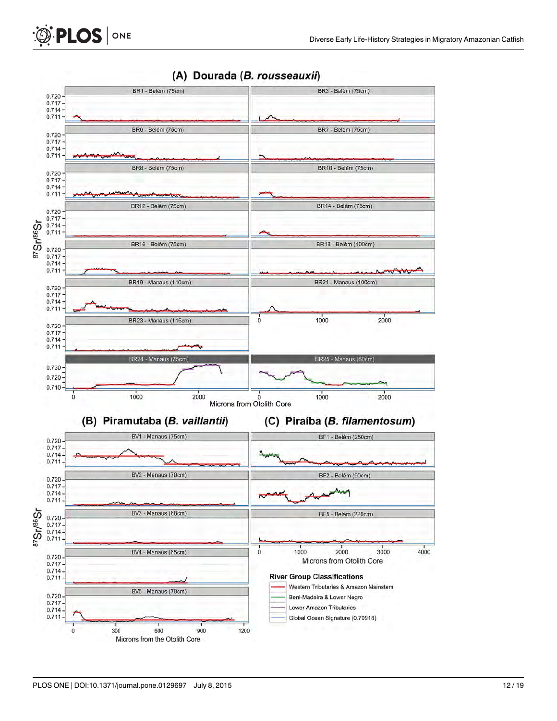

### (A) Dourada (B. rousseauxii)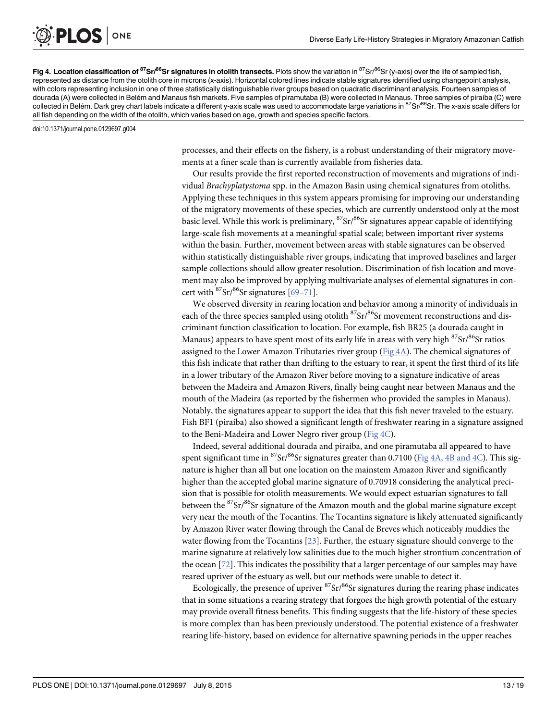[Fig 4. L](#page-10-0)ocation classification of <sup>87</sup>Sr/<sup>86</sup>Sr signatures in otolith transects. Plots show the variation in <sup>87</sup>Sr/<sup>86</sup>Sr (y-axis) over the life of sampled fish, represented as distance from the otolith core in microns (x-axis). Horizontal colored lines indicate stable signatures identified using changepoint analysis, with colors representing inclusion in one of three statistically distinguishable river groups based on quadratic discriminant analysis. Fourteen samples of dourada (A) were collected in Belém and Manaus fish markets. Five samples of piramutaba (B) were collected in Manaus. Three samples of piraíba (C) were collected in Belém. Dark grey chart labels indicate a different y-axis scale was used to accommodate large variations in <sup>87</sup>Sr/<sup>86</sup>Sr. The x-axis scale differs for all fish depending on the width of the otolith, which varies based on age, growth and species specific factors.

doi:10.1371/journal.pone.0129697.g004

<span id="page-12-0"></span>**PLOS** ONE

processes, and their effects on the fishery, is a robust understanding of their migratory movements at a finer scale than is currently available from fisheries data.

Our results provide the first reported reconstruction of movements and migrations of individual Brachyplatystoma spp. in the Amazon Basin using chemical signatures from otoliths. Applying these techniques in this system appears promising for improving our understanding of the migratory movements of these species, which are currently understood only at the most basic level. While this work is preliminary,  ${}^{87}Sr/{}^{86}Sr$  signatures appear capable of identifying large-scale fish movements at a meaningful spatial scale; between important river systems within the basin. Further, movement between areas with stable signatures can be observed within statistically distinguishable river groups, indicating that improved baselines and larger sample collections should allow greater resolution. Discrimination of fish location and movement may also be improved by applying multivariate analyses of elemental signatures in concert with  ${}^{87}Sr/{}^{86}Sr$  signatures [[69](#page-18-0)–[71\]](#page-18-0).

We observed diversity in rearing location and behavior among a minority of individuals in each of the three species sampled using otolith  ${}^{87}Sr/{}^{86}Sr$  movement reconstructions and discriminant function classification to location. For example, fish BR25 (a dourada caught in Manaus) appears to have spent most of its early life in areas with very high  $87$ Sr $/86$ Sr ratios assigned to the Lower Amazon Tributaries river group ( $Fig 4A$ ). The chemical signatures of this fish indicate that rather than drifting to the estuary to rear, it spent the first third of its life in a lower tributary of the Amazon River before moving to a signature indicative of areas between the Madeira and Amazon Rivers, finally being caught near between Manaus and the mouth of the Madeira (as reported by the fishermen who provided the samples in Manaus). Notably, the signatures appear to support the idea that this fish never traveled to the estuary. Fish BF1 (piraíba) also showed a significant length of freshwater rearing in a signature assigned to the Beni-Madeira and Lower Negro river group ( $Fig 4C$ ).

Indeed, several additional dourada and piraíba, and one piramutaba all appeared to have spent significant time in  ${}^{87}Sr/{}^{86}Sr$  signatures greater than 0.7100 (Fig 4A, 4B and 4C). This signature is higher than all but one location on the mainstem Amazon River and significantly higher than the accepted global marine signature of 0.70918 considering the analytical precision that is possible for otolith measurements. We would expect estuarian signatures to fall between the <sup>87</sup>Sr/<sup>86</sup>Sr signature of the Amazon mouth and the global marine signature except very near the mouth of the Tocantins. The Tocantins signature is likely attenuated significantly by Amazon River water flowing through the Canal de Breves which noticeably muddies the water flowing from the Tocantins  $[23]$ . Further, the estuary signature should converge to the marine signature at relatively low salinities due to the much higher strontium concentration of the ocean [\[72](#page-18-0)]. This indicates the possibility that a larger percentage of our samples may have reared upriver of the estuary as well, but our methods were unable to detect it.

Ecologically, the presence of upriver  ${}^{87}Sr/{}^{86}Sr$  signatures during the rearing phase indicates that in some situations a rearing strategy that forgoes the high growth potential of the estuary may provide overall fitness benefits. This finding suggests that the life-history of these species is more complex than has been previously understood. The potential existence of a freshwater rearing life-history, based on evidence for alternative spawning periods in the upper reaches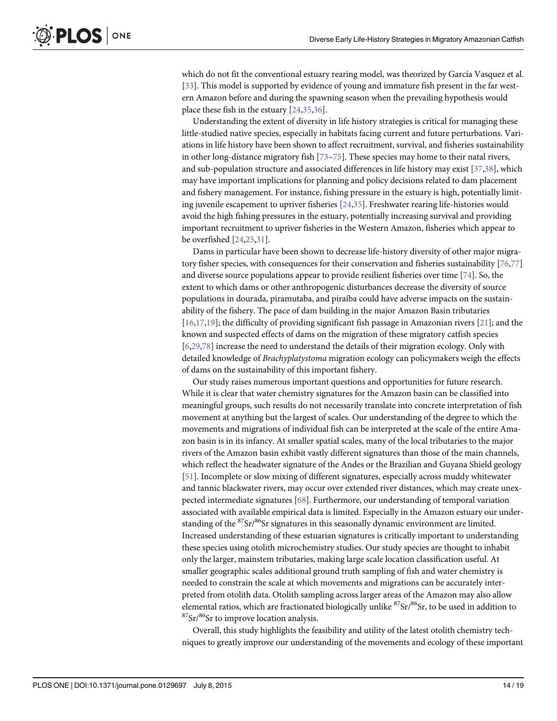<span id="page-13-0"></span>which do not fit the conventional estuary rearing model, was theorized by García Vasquez et al. [\[33](#page-16-0)]. This model is supported by evidence of young and immature fish present in the far western Amazon before and during the spawning season when the prevailing hypothesis would place these fish in the estuary [\[24,](#page-15-0)[35](#page-16-0),[36](#page-16-0)].

Understanding the extent of diversity in life history strategies is critical for managing these little-studied native species, especially in habitats facing current and future perturbations. Variations in life history have been shown to affect recruitment, survival, and fisheries sustainability in other long-distance migratory fish  $[73–75]$  $[73–75]$  $[73–75]$ . These species may home to their natal rivers, and sub-population structure and associated differences in life history may exist [\[37,38](#page-16-0)], which may have important implications for planning and policy decisions related to dam placement and fishery management. For instance, fishing pressure in the estuary is high, potentially limiting juvenile escapement to upriver fisheries [[24](#page-15-0),[35](#page-16-0)]. Freshwater rearing life-histories would avoid the high fishing pressures in the estuary, potentially increasing survival and providing important recruitment to upriver fisheries in the Western Amazon, fisheries which appear to be overfished [\[24,25,](#page-15-0)[31](#page-16-0)].

Dams in particular have been shown to decrease life-history diversity of other major migratory fisher species, with consequences for their conservation and fisheries sustainability [[76,77](#page-18-0)] and diverse source populations appear to provide resilient fisheries over time  $[74]$ . So, the extent to which dams or other anthropogenic disturbances decrease the diversity of source populations in dourada, piramutaba, and piraíba could have adverse impacts on the sustainability of the fishery. The pace of dam building in the major Amazon Basin tributaries  $[16,17,19]$ ; the difficulty of providing significant fish passage in Amazonian rivers  $[21]$  $[21]$  $[21]$ ; and the known and suspected effects of dams on the migration of these migratory catfish species [\[6](#page-14-0)[,29](#page-16-0)[,78\]](#page-18-0) increase the need to understand the details of their migration ecology. Only with detailed knowledge of Brachyplatystoma migration ecology can policymakers weigh the effects of dams on the sustainability of this important fishery.

Our study raises numerous important questions and opportunities for future research. While it is clear that water chemistry signatures for the Amazon basin can be classified into meaningful groups, such results do not necessarily translate into concrete interpretation of fish movement at anything but the largest of scales. Our understanding of the degree to which the movements and migrations of individual fish can be interpreted at the scale of the entire Amazon basin is in its infancy. At smaller spatial scales, many of the local tributaries to the major rivers of the Amazon basin exhibit vastly different signatures than those of the main channels, which reflect the headwater signature of the Andes or the Brazilian and Guyana Shield geology [\[51](#page-17-0)]. Incomplete or slow mixing of different signatures, especially across muddy whitewater and tannic blackwater rivers, may occur over extended river distances, which may create unexpected intermediate signatures [[68\]](#page-18-0). Furthermore, our understanding of temporal variation associated with available empirical data is limited. Especially in the Amazon estuary our understanding of the  ${}^{87}Sr/{}^{86}Sr$  signatures in this seasonally dynamic environment are limited. Increased understanding of these estuarian signatures is critically important to understanding these species using otolith microchemistry studies. Our study species are thought to inhabit only the larger, mainstem tributaries, making large scale location classification useful. At smaller geographic scales additional ground truth sampling of fish and water chemistry is needed to constrain the scale at which movements and migrations can be accurately interpreted from otolith data. Otolith sampling across larger areas of the Amazon may also allow elemental ratios, which are fractionated biologically unlike  ${}^{87}Sr/{}^{86}Sr$ , to be used in addition to  $87$ Sr/ $86$ Sr to improve location analysis.

Overall, this study highlights the feasibility and utility of the latest otolith chemistry techniques to greatly improve our understanding of the movements and ecology of these important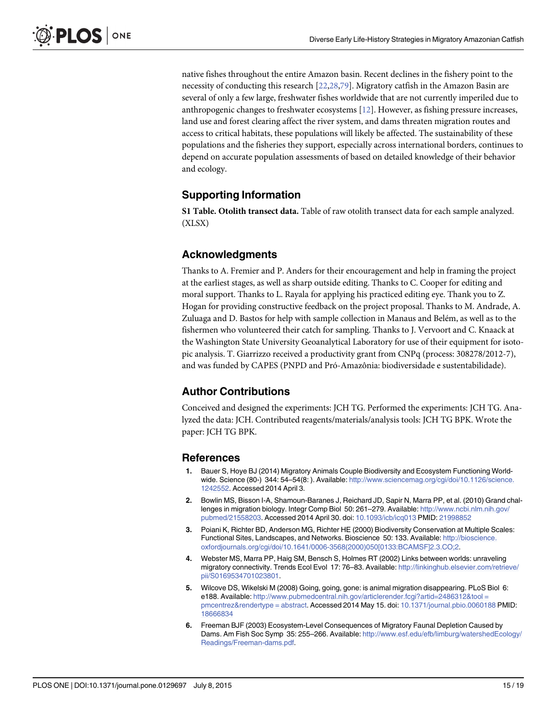native fishes throughout the entire Amazon basin. Recent declines in the fishery point to the necessity of conducting this research [\[22](#page-15-0)[,28,](#page-16-0)[79\]](#page-18-0). Migratory catfish in the Amazon Basin are several of only a few large, freshwater fishes worldwide that are not currently imperiled due to anthropogenic changes to freshwater ecosystems [\[12\]](#page-15-0). However, as fishing pressure increases, land use and forest clearing affect the river system, and dams threaten migration routes and access to critical habitats, these populations will likely be affected. The sustainability of these populations and the fisheries they support, especially across international borders, continues to depend on accurate population assessments of based on detailed knowledge of their behavior and ecology.

### Supporting Information

[S1 Table](http://www.plosone.org/article/fetchSingleRepresentation.action?uri=info:doi/10.1371/journal.pone.0129697.s001). Otolith transect data. Table of raw otolith transect data for each sample analyzed. (XLSX)

### Acknowledgments

Thanks to A. Fremier and P. Anders for their encouragement and help in framing the project at the earliest stages, as well as sharp outside editing. Thanks to C. Cooper for editing and moral support. Thanks to L. Rayala for applying his practiced editing eye. Thank you to Z. Hogan for providing constructive feedback on the project proposal. Thanks to M. Andrade, A. Zuluaga and D. Bastos for help with sample collection in Manaus and Belém, as well as to the fishermen who volunteered their catch for sampling. Thanks to J. Vervoort and C. Knaack at the Washington State University Geoanalytical Laboratory for use of their equipment for isotopic analysis. T. Giarrizzo received a productivity grant from CNPq (process: 308278/2012-7), and was funded by CAPES (PNPD and Pró-Amazônia: biodiversidade e sustentabilidade).

### Author Contributions

Conceived and designed the experiments: JCH TG. Performed the experiments: JCH TG. Analyzed the data: JCH. Contributed reagents/materials/analysis tools: JCH TG BPK. Wrote the paper: JCH TG BPK.

#### References

- [1.](#page-1-0) Bauer S, Hoye BJ (2014) Migratory Animals Couple Biodiversity and Ecosystem Functioning Worldwide. Science (80-) 344: 54-54(8: ). Available: [http://www.sciencemag.org/cgi/doi/10.1126/science.](http://www.sciencemag.org/cgi/doi/10.1126/science.1242552) [1242552.](http://www.sciencemag.org/cgi/doi/10.1126/science.1242552) Accessed 2014 April 3.
- [2.](#page-1-0) Bowlin MS, Bisson I-A, Shamoun-Baranes J, Reichard JD, Sapir N, Marra PP, et al. (2010) Grand challenges in migration biology. Integr Comp Biol 50: 261–279. Available: [http://www.ncbi.nlm.nih.gov/](http://www.ncbi.nlm.nih.gov/pubmed/21558203) [pubmed/21558203.](http://www.ncbi.nlm.nih.gov/pubmed/21558203) Accessed 2014 April 30. doi: [10.1093/icb/icq013](http://dx.doi.org/10.1093/icb/icq013) PMID: [21998852](http://www.ncbi.nlm.nih.gov/pubmed/21998852)
- 3. Poiani K, Richter BD, Anderson MG, Richter HE (2000) Biodiversity Conservation at Multiple Scales: Functional Sites, Landscapes, and Networks. Bioscience 50: 133. Available: [http://bioscience.](http://bioscience.oxfordjournals.org/cgi/doi/10.1641/0006-3568(2000)050[0133:BCAMSF]2.3.CO;2) [oxfordjournals.org/cgi/doi/10.1641/0006-3568\(2000\)050\[0133:BCAMSF\]2.3.CO;2.](http://bioscience.oxfordjournals.org/cgi/doi/10.1641/0006-3568(2000)050[0133:BCAMSF]2.3.CO;2)
- [4.](#page-1-0) Webster MS, Marra PP, Haig SM, Bensch S, Holmes RT (2002) Links between worlds: unraveling migratory connectivity. Trends Ecol Evol 17: 76–83. Available: [http://linkinghub.elsevier.com/retrieve/](http://linkinghub.elsevier.com/retrieve/pii/S0169534701023801) [pii/S0169534701023801.](http://linkinghub.elsevier.com/retrieve/pii/S0169534701023801)
- [5.](#page-1-0) Wilcove DS, Wikelski M (2008) Going, going, gone: is animal migration disappearing. PLoS Biol 6: e188. Available: [http://www.pubmedcentral.nih.gov/articlerender.fcgi?artid=2486312&tool =](http://www.pubmedcentral.nih.gov/articlerender.fcgi?artid=2486312&tool�=�pmcentrez&rendertype�=�abstract) [pmcentrez&rendertype = abstract](http://www.pubmedcentral.nih.gov/articlerender.fcgi?artid=2486312&tool�=�pmcentrez&rendertype�=�abstract). Accessed 2014 May 15. doi: [10.1371/journal.pbio.0060188](http://dx.doi.org/10.1371/journal.pbio.0060188) PMID: [18666834](http://www.ncbi.nlm.nih.gov/pubmed/18666834)
- [6.](#page-1-0) Freeman BJF (2003) Ecosystem-Level Consequences of Migratory Faunal Depletion Caused by Dams. Am Fish Soc Symp 35: 255–266. Available: [http://www.esf.edu/efb/limburg/watershedEcology/](http://www.esf.edu/efb/limburg/watershedEcology/Readings/Freeman-dams.pdf) [Readings/Freeman-dams.pdf](http://www.esf.edu/efb/limburg/watershedEcology/Readings/Freeman-dams.pdf).

<span id="page-14-0"></span>**PLOS** I

ONE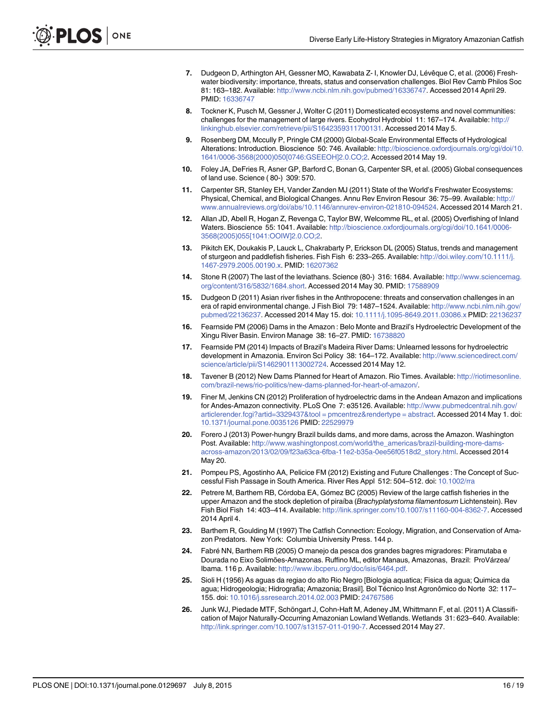- <span id="page-15-0"></span>7. Dudgeon D, Arthington AH, Gessner MO, Kawabata Z- I, Knowler DJ, Lévêque C, et al. (2006) Freshwater biodiversity: importance, threats, status and conservation challenges. Biol Rev Camb Philos Soc 81: 163–182. Available: [http://www.ncbi.nlm.nih.gov/pubmed/16336747.](http://www.ncbi.nlm.nih.gov/pubmed/16336747) Accessed 2014 April 29. PMID: [16336747](http://www.ncbi.nlm.nih.gov/pubmed/16336747)
- 8. Tockner K, Pusch M, Gessner J, Wolter C (2011) Domesticated ecosystems and novel communities: challenges for the management of large rivers. Ecohydrol Hydrobiol 11: 167-174. Available: [http://](http://linkinghub.elsevier.com/retrieve/pii/S1642359311700131) [linkinghub.elsevier.com/retrieve/pii/S1642359311700131.](http://linkinghub.elsevier.com/retrieve/pii/S1642359311700131) Accessed 2014 May 5.
- 9. Rosenberg DM, Mccully P, Pringle CM (2000) Global-Scale Environmental Effects of Hydrological Alterations: Introduction. Bioscience 50: 746. Available: [http://bioscience.oxfordjournals.org/cgi/doi/10.](http://bioscience.oxfordjournals.org/cgi/doi/10.1641/0006-3568(2000)050[0746:GSEEOH]2.0.CO;2) [1641/0006-3568\(2000\)050\[0746:GSEEOH\]2.0.CO;2](http://bioscience.oxfordjournals.org/cgi/doi/10.1641/0006-3568(2000)050[0746:GSEEOH]2.0.CO;2). Accessed 2014 May 19.
- 10. Foley JA, DeFries R, Asner GP, Barford C, Bonan G, Carpenter SR, et al. (2005) Global consequences of land use. Science ( 80-) 309: 570.
- [11.](#page-1-0) Carpenter SR, Stanley EH, Vander Zanden MJ (2011) State of the World's Freshwater Ecosystems: Physical, Chemical, and Biological Changes. Annu Rev Environ Resour 36: 75–99. Available: [http://](http://www.annualreviews.org/doi/abs/10.1146/annurev-environ-021810-094524) [www.annualreviews.org/doi/abs/10.1146/annurev-environ-021810-094524](http://www.annualreviews.org/doi/abs/10.1146/annurev-environ-021810-094524). Accessed 2014 March 21.
- [12.](#page-1-0) Allan JD, Abell R, Hogan Z, Revenga C, Taylor BW, Welcomme RL, et al. (2005) Overfishing of Inland Waters. Bioscience 55: 1041. Available: [http://bioscience.oxfordjournals.org/cgi/doi/10.1641/0006-](http://bioscience.oxfordjournals.org/cgi/doi/10.1641/0006-3568(2005)055[1041:OOIW]2.0.CO;2) [3568\(2005\)055\[1041:OOIW\]2.0.CO;2](http://bioscience.oxfordjournals.org/cgi/doi/10.1641/0006-3568(2005)055[1041:OOIW]2.0.CO;2).
- 13. Pikitch EK, Doukakis P, Lauck L, Chakrabarty P, Erickson DL (2005) Status, trends and management of sturgeon and paddlefish fisheries. Fish Fish 6: 233–265. Available: [http://doi.wiley.com/10.1111/j.](http://doi.wiley.com/10.1111/j.1467-2979.2005.00190.x) [1467-2979.2005.00190.x.](http://doi.wiley.com/10.1111/j.1467-2979.2005.00190.x) PMID: [16207362](http://www.ncbi.nlm.nih.gov/pubmed/16207362)
- [14.](#page-1-0) Stone R (2007) The last of the leviathans. Science (80-) 316: 1684. Available: [http://www.sciencemag.](http://www.sciencemag.org/content/316/5832/1684.short) [org/content/316/5832/1684.short](http://www.sciencemag.org/content/316/5832/1684.short). Accessed 2014 May 30. PMID: [17588909](http://www.ncbi.nlm.nih.gov/pubmed/17588909)
- [15.](#page-1-0) Dudgeon D (2011) Asian river fishes in the Anthropocene: threats and conservation challenges in an era of rapid environmental change. J Fish Biol 79: 1487–1524. Available: [http://www.ncbi.nlm.nih.gov/](http://www.ncbi.nlm.nih.gov/pubmed/22136237) [pubmed/22136237.](http://www.ncbi.nlm.nih.gov/pubmed/22136237) Accessed 2014 May 15. doi: [10.1111/j.1095-8649.2011.03086.x](http://dx.doi.org/10.1111/j.1095-8649.2011.03086.x) PMID: [22136237](http://www.ncbi.nlm.nih.gov/pubmed/22136237)
- [16.](#page-1-0) Fearnside PM (2006) Dams in the Amazon : Belo Monte and Brazil's Hydroelectric Development of the Xingu River Basin. Environ Manage 38: 16–27. PMID: [16738820](http://www.ncbi.nlm.nih.gov/pubmed/16738820)
- [17.](#page-13-0) Fearnside PM (2014) Impacts of Brazil's Madeira River Dams: Unlearned lessons for hydroelectric development in Amazonia. Environ Sci Policy 38: 164–172. Available: [http://www.sciencedirect.com/](http://www.sciencedirect.com/science/article/pii/S1462901113002724) [science/article/pii/S1462901113002724](http://www.sciencedirect.com/science/article/pii/S1462901113002724). Accessed 2014 May 12.
- 18. Tavener B (2012) New Dams Planned for Heart of Amazon. Rio Times. Available: [http://riotimesonline.](http://riotimesonline.com/brazil-news/rio-politics/new-dams-planned-for-heart-of-amazon/) [com/brazil-news/rio-politics/new-dams-planned-for-heart-of-amazon/](http://riotimesonline.com/brazil-news/rio-politics/new-dams-planned-for-heart-of-amazon/).
- [19.](#page-10-0) Finer M, Jenkins CN (2012) Proliferation of hydroelectric dams in the Andean Amazon and implications for Andes-Amazon connectivity. PLoS One 7: e35126. Available: [http://www.pubmedcentral.nih.gov/](http://www.pubmedcentral.nih.gov/articlerender.fcgi?artid=3329437&tool�=�pmcentrez&rendertype�=�abstract) [articlerender.fcgi?artid=3329437&tool = pmcentrez&rendertype = abstract.](http://www.pubmedcentral.nih.gov/articlerender.fcgi?artid=3329437&tool�=�pmcentrez&rendertype�=�abstract) Accessed 2014 May 1. doi: [10.1371/journal.pone.0035126](http://dx.doi.org/10.1371/journal.pone.0035126) PMID: [22529979](http://www.ncbi.nlm.nih.gov/pubmed/22529979)
- [20.](#page-1-0) Forero J (2013) Power-hungry Brazil builds dams, and more dams, across the Amazon. Washington Post. Available: [http://www.washingtonpost.com/world/the\\_americas/brazil-building-more-dams](http://www.washingtonpost.com/world/the_americas/brazil-building-more-dams-across-amazon/2013/02/09/f23a63ca-6fba-11e2-b35a-0ee56f0518d2_story.html)[across-amazon/2013/02/09/f23a63ca-6fba-11e2-b35a-0ee56f0518d2\\_story.html.](http://www.washingtonpost.com/world/the_americas/brazil-building-more-dams-across-amazon/2013/02/09/f23a63ca-6fba-11e2-b35a-0ee56f0518d2_story.html) Accessed 2014 May 20.
- [21.](#page-1-0) Pompeu PS, Agostinho AA, Pelicice FM (2012) Existing and Future Challenges : The Concept of Successful Fish Passage in South America. River Res Appl 512: 504–512. doi: [10.1002/rra](http://dx.doi.org/10.1002/rra)
- [22.](#page-1-0) Petrere M, Barthem RB, Córdoba EA, Gómez BC (2005) Review of the large catfish fisheries in the upper Amazon and the stock depletion of piraíba (Brachyplatystoma filamentosum Lichtenstein). Rev Fish Biol Fish 14: 403–414. Available: [http://link.springer.com/10.1007/s11160-004-8362-7.](http://link.springer.com/10.1007/s11160-004-8362-7) Accessed 2014 April 4.
- [23.](#page-1-0) Barthem R, Goulding M (1997) The Catfish Connection: Ecology, Migration, and Conservation of Amazon Predators. New York: Columbia University Press. 144 p.
- [24.](#page-1-0) Fabré NN, Barthem RB (2005) O manejo da pesca dos grandes bagres migradores: Piramutaba e Dourada no Eixo Solimões-Amazonas. Ruffino ML, editor Manaus, Amazonas, Brazil: ProVárzea/ Ibama. 116 p. Available: <http://www.ibcperu.org/doc/isis/6464.pdf>.
- [25.](#page-1-0) Sioli H (1956) As aguas da regiao do alto Rio Negro [Biologia aquatica; Fisica da agua; Quimica da agua; Hidrogeologia; Hidrografia; Amazonia; Brasil]. Bol Técnico Inst Agronômico do Norte 32: 117– 155. doi: [10.1016/j.ssresearch.2014.02.003](http://dx.doi.org/10.1016/j.ssresearch.2014.02.003) PMID: [24767586](http://www.ncbi.nlm.nih.gov/pubmed/24767586)
- [26.](#page-1-0) Junk WJ, Piedade MTF, Schöngart J, Cohn-Haft M, Adeney JM, Whittmann F, et al. (2011) A Classification of Major Naturally-Occurring Amazonian Lowland Wetlands. Wetlands 31: 623–640. Available: <http://link.springer.com/10.1007/s13157-011-0190-7>. Accessed 2014 May 27.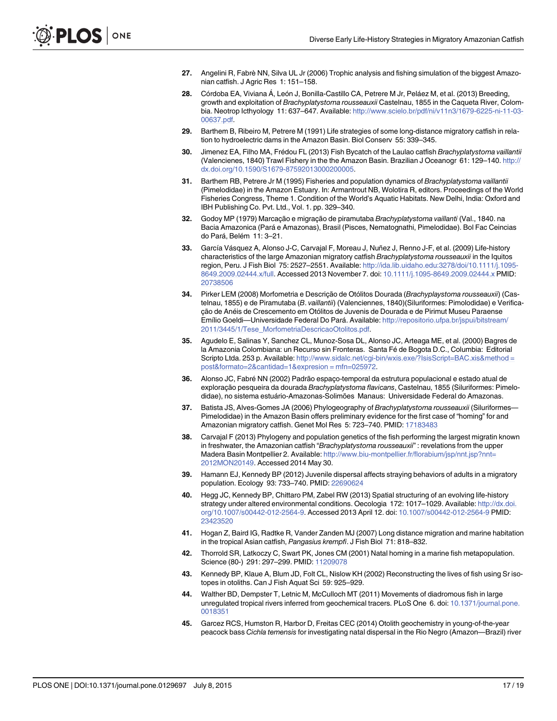- <span id="page-16-0"></span>[27.](#page-1-0) Angelini R, Fabrè NN, Silva UL Jr (2006) Trophic analysis and fishing simulation of the biggest Amazonian catfish. J Agric Res 1: 151–158.
- [28.](#page-1-0) Córdoba EA, Viviana Á, León J, Bonilla-Castillo CA, Petrere M Jr, Peláez M, et al. (2013) Breeding, growth and exploitation of Brachyplatystoma rousseauxii Castelnau, 1855 in the Caqueta River, Colombia. Neotrop Icthyology 11: 637–647. Available: [http://www.scielo.br/pdf/ni/v11n3/1679-6225-ni-11-03-](http://www.scielo.br/pdf/ni/v11n3/1679-6225-ni-11-03-00637.pdf) [00637.pdf](http://www.scielo.br/pdf/ni/v11n3/1679-6225-ni-11-03-00637.pdf).
- [29.](#page-1-0) Barthem B, Ribeiro M, Petrere M (1991) Life strategies of some long-distance migratory catfish in relation to hydroelectric dams in the Amazon Basin. Biol Conserv 55: 339–345.
- [30.](#page-1-0) Jimenez EA, Filho MA, Frédou FL (2013) Fish Bycatch of the Laulao catfish Brachyplatystoma vaillantii (Valencienes, 1840) Trawl Fishery in the the Amazon Basin. Brazilian J Oceanogr 61: 129–140. [http://](http://dx.doi.org/10.1590/S1679-87592013000200005) [dx.doi.org/10.1590/S1679-87592013000200005.](http://dx.doi.org/10.1590/S1679-87592013000200005)
- [31.](#page-2-0) Barthem RB, Petrere Jr M (1995) Fisheries and population dynamics of Brachyplatystoma vaillantii (Pimelodidae) in the Amazon Estuary. In: Armantrout NB, Wolotira R, editors. Proceedings of the World Fisheries Congress, Theme 1. Condition of the World's Aquatic Habitats. New Delhi, India: Oxford and IBH Publishing Co. Pvt. Ltd., Vol. 1. pp. 329–340.
- [32.](#page-1-0) Godoy MP (1979) Marcação e migração de piramutaba Brachyplatystoma vaillanti (Val., 1840. na Bacia Amazonica (Pará e Amazonas), Brasil (Pisces, Nematognathi, Pimelodidae). Bol Fac Ceincias do Pará, Belém 11: 3–21.
- [33.](#page-2-0) García Vásquez A, Alonso J-C, Carvajal F, Moreau J, Nuñez J, Renno J-F, et al. (2009) Life-history characteristics of the large Amazonian migratory catfish Brachyplatystoma rousseauxii in the Iquitos region, Peru. J Fish Biol 75: 2527–2551. Available: [http://ida.lib.uidaho.edu:3278/doi/10.1111/j.1095-](http://ida.lib.uidaho.edu:3278/doi/10.1111/j.1095-8649.2009.02444.x/full) [8649.2009.02444.x/full.](http://ida.lib.uidaho.edu:3278/doi/10.1111/j.1095-8649.2009.02444.x/full) Accessed 2013 November 7. doi: [10.1111/j.1095-8649.2009.02444.x](http://dx.doi.org/10.1111/j.1095-8649.2009.02444.x) PMID: [20738506](http://www.ncbi.nlm.nih.gov/pubmed/20738506)
- [34.](#page-4-0) Pirker LEM (2008) Morfometria e Descrição de Otólitos Dourada (Brachyplaystoma rousseauxii) (Castelnau, 1855) e de Piramutaba (B. vaillantii) (Valenciennes, 1840) (Siluriformes: Pimolodidae) e Verificação de Anéis de Crescemento em Otólitos de Juvenis de Dourada e de Pirimut Museu Paraense Emílio Goeldi—Universidade Federal Do Pará. Available: [http://repositorio.ufpa.br/jspui/bitstream/](http://repositorio.ufpa.br/jspui/bitstream/2011/3445/1/Tese_MorfometriaDescricaoOtolitos.pdf) [2011/3445/1/Tese\\_MorfometriaDescricaoOtolitos.pdf](http://repositorio.ufpa.br/jspui/bitstream/2011/3445/1/Tese_MorfometriaDescricaoOtolitos.pdf).
- [35.](#page-10-0) Agudelo E, Salinas Y, Sanchez CL, Munoz-Sosa DL, Alonso JC, Arteaga ME, et al. (2000) Bagres de la Amazonia Colombiana: un Recurso sin Fronteras. Santa Fé de Bogota D.C., Columbia: Editorial Scripto Ltda. 253 p. Available: http://www.sidalc.net/cqi-bin/wxis.exe/?IsisScript=BAC.xis&method = [post&formato=2&cantidad=1&expresion = mfn=025972](http://www.sidalc.net/cgi-bin/wxis.exe/?IsisScript=BAC.xis&method�=�post&formato=2&cantidad=1&expresion�=�mfn=025972).
- [36.](#page-2-0) Alonso JC, Fabré NN (2002) Padrão espaço-temporal da estrutura populacional e estado atual de exploração pesqueira da dourada Brachyplatystoma flavicans, Castelnau, 1855 (Siluriformes: Pimelodidae), no sistema estuário-Amazonas-Solimões Manaus: Universidade Federal do Amazonas.
- [37.](#page-2-0) Batista JS, Alves-Gomes JA (2006) Phylogeography of Brachyplatystoma rousseauxii (Siluriformes— Pimelodidae) in the Amazon Basin offers preliminary evidence for the first case of "homing" for and Amazonian migratory catfish. Genet Mol Res 5: 723–740. PMID: [17183483](http://www.ncbi.nlm.nih.gov/pubmed/17183483)
- [38.](#page-2-0) Carvajal F (2013) Phylogeny and population genetics of the fish performing the largest migratin known in freshwater, the Amazonian catfish "Brachyplatystoma rousseauxii" : revelations from the upper Madera Basin Montpellier 2. Available: [http://www.biu-montpellier.fr/florabium/jsp/nnt.jsp?nnt=](http://www.biu-montpellier.fr/florabium/jsp/nnt.jsp?nnt=2012MON20149) [2012MON20149](http://www.biu-montpellier.fr/florabium/jsp/nnt.jsp?nnt=2012MON20149). Accessed 2014 May 30.
- [39.](#page-2-0) Hamann EJ, Kennedy BP (2012) Juvenile dispersal affects straying behaviors of adults in a migratory population. Ecology 93: 733–740. PMID: [22690624](http://www.ncbi.nlm.nih.gov/pubmed/22690624)
- [40.](#page-4-0) Hegg JC, Kennedy BP, Chittaro PM, Zabel RW (2013) Spatial structuring of an evolving life-history strategy under altered environmental conditions. Oecologia 172: 1017-1029. Available: [http://dx.doi.](http://dx.doi.org/10.1007/s00442-012-2564-9) [org/10.1007/s00442-012-2564-9](http://dx.doi.org/10.1007/s00442-012-2564-9). Accessed 2013 April 12. doi: [10.1007/s00442-012-2564-9](http://dx.doi.org/10.1007/s00442-012-2564-9) PMID: [23423520](http://www.ncbi.nlm.nih.gov/pubmed/23423520)
- 41. Hogan Z, Baird IG, Radtke R, Vander Zanden MJ (2007) Long distance migration and marine habitation in the tropical Asian catfish, Pangasius krempfi. J Fish Biol 71: 818–832.
- 42. Thorrold SR, Latkoczy C, Swart PK, Jones CM (2001) Natal homing in a marine fish metapopulation. Science (80-) 291: 297–299. PMID: [11209078](http://www.ncbi.nlm.nih.gov/pubmed/11209078)
- [43.](#page-2-0) Kennedy BP, Klaue A, Blum JD, Folt CL, Nislow KH (2002) Reconstructing the lives of fish using Sr isotopes in otoliths. Can J Fish Aquat Sci 59: 925–929.
- 44. Walther BD, Dempster T, Letnic M, McCulloch MT (2011) Movements of diadromous fish in large unregulated tropical rivers inferred from geochemical tracers. PLoS One 6. doi: [10.1371/journal.pone.](http://dx.doi.org/10.1371/journal.pone.0018351) [0018351](http://dx.doi.org/10.1371/journal.pone.0018351)
- 45. Garcez RCS, Humston R, Harbor D, Freitas CEC (2014) Otolith geochemistry in young-of-the-year peacock bass Cichla temensis for investigating natal dispersal in the Rio Negro (Amazon—Brazil) river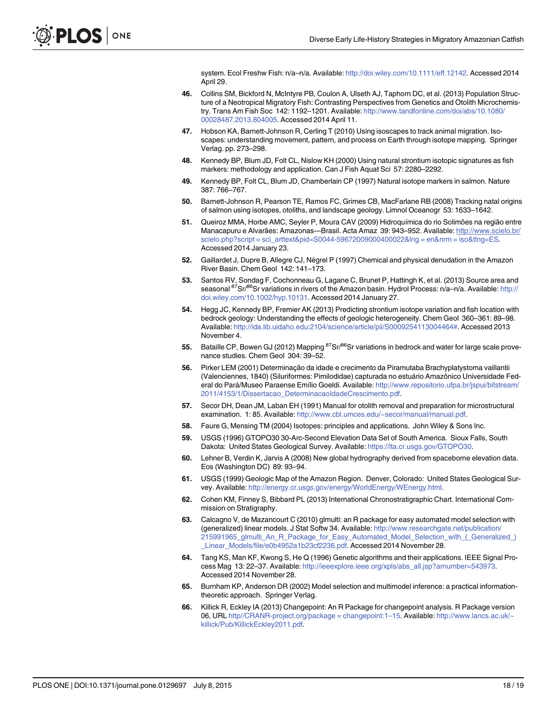system. Ecol Freshw Fish: n/a-n/a. Available: [http://doi.wiley.com/10.1111/eff.12142.](http://doi.wiley.com/10.1111/eff.12142) Accessed 2014 April 29.

- <span id="page-17-0"></span>[46.](#page-2-0) Collins SM, Bickford N, McIntyre PB, Coulon A, Ulseth AJ, Taphorn DC, et al. (2013) Population Structure of a Neotropical Migratory Fish: Contrasting Perspectives from Genetics and Otolith Microchemistry. Trans Am Fish Soc 142: 1192–1201. Available: [http://www.tandfonline.com/doi/abs/10.1080/](http://www.tandfonline.com/doi/abs/10.1080/00028487.2013.804005) [00028487.2013.804005.](http://www.tandfonline.com/doi/abs/10.1080/00028487.2013.804005) Accessed 2014 April 11.
- [47.](#page-2-0) Hobson KA, Barnett-Johnson R, Cerling T (2010) Using isoscapes to track animal migration. Isoscapes: understanding movement, pattern, and process on Earth through isotope mapping. Springer Verlag. pp. 273–298.
- 48. Kennedy BP, Blum JD, Folt CL, Nislow KH (2000) Using natural strontium isotopic signatures as fish markers: methodology and application. Can J Fish Aquat Sci 57: 2280–2292.
- 49. Kennedy BP, Folt CL, Blum JD, Chamberlain CP (1997) Natural isotope markers in salmon. Nature 387: 766–767.
- [50.](#page-2-0) Barnett-Johnson R, Pearson TE, Ramos FC, Grimes CB, MacFarlane RB (2008) Tracking natal origins of salmon using isotopes, otoliths, and landscape geology. Limnol Oceanogr 53: 1633–1642.
- [51.](#page-2-0) Queiroz MMA, Horbe AMC, Seyler P, Moura CAV (2009) Hidroquímica do rio Solimões na região entre Manacapuru e Alvarães: Amazonas—Brasil. Acta Amaz 39: 943–952. Available: [http://www.scielo.br/](http://www.scielo.br/scielo.php?script�=�sci_arttext&pid=S0044-59672009000400022&lng�=�en&nrm�=�iso&tlng=ES) [scielo.php?script = sci\\_arttext&pid=S0044-59672009000400022&lng = en&nrm = iso&tlng=ES](http://www.scielo.br/scielo.php?script�=�sci_arttext&pid=S0044-59672009000400022&lng�=�en&nrm�=�iso&tlng=ES). Accessed 2014 January 23.
- [52.](#page-5-0) Gaillardet J, Dupre B, Allegre CJ, Négrel P (1997) Chemical and physical denudation in the Amazon River Basin. Chem Geol 142: 141–173.
- [53.](#page-2-0) Santos RV, Sondag F, Cochonneau G, Lagane C, Brunet P, Hattingh K, et al. (2013) Source area and seasonal <sup>87</sup>Sr/<sup>86</sup>Sr variations in rivers of the Amazon basin. Hydrol Process: n/a–n/a. Available: [http://](http://doi.wiley.com/10.1002/hyp.10131) [doi.wiley.com/10.1002/hyp.10131](http://doi.wiley.com/10.1002/hyp.10131). Accessed 2014 January 27.
- [54.](#page-2-0) Hegg JC, Kennedy BP, Fremier AK (2013) Predicting strontium isotope variation and fish location with bedrock geology: Understanding the effects of geologic heterogeneity. Chem Geol 360–361: 89–98. Available: [http://ida.lib.uidaho.edu:2104/science/article/pii/S0009254113004464#.](http://ida.lib.uidaho.edu:2104/science/article/pii/S0009254113004464#) Accessed 2013 November 4.
- [55.](#page-2-0) Bataille CP, Bowen GJ (2012) Mapping <sup>87</sup>Sr/<sup>86</sup>Sr variations in bedrock and water for large scale provenance studies. Chem Geol 304: 39–52.
- [56.](#page-3-0) Pirker LEM (2001) Determinação da idade e crecimento da Piramutaba Brachyplatystoma vaillantii (Valenciennes, 1840) (Siluriformes: Pimilodidae) capturada no estuário Amazônico Universidade Federal do Pará/Museo Paraense Emílio Goeldi. Available: [http://www.repositorio.ufpa.br/jspui/bitstream/](http://www.repositorio.ufpa.br/jspui/bitstream/2011/4153/1/Dissertacao_DeterminacaoIdadeCrescimento.pdf) [2011/4153/1/Dissertacao\\_DeterminacaoIdadeCrescimento.pdf.](http://www.repositorio.ufpa.br/jspui/bitstream/2011/4153/1/Dissertacao_DeterminacaoIdadeCrescimento.pdf)
- [57.](#page-4-0) Secor DH, Dean JM, Laban EH (1991) Manual for otolith removal and preparation for microstructural examination. 1: 85. Available: [http://www.cbl.umces.edu/~secor/manual/manual.pdf.](http://www.cbl.umces.edu/~secor/manual/manual.pdf)
- [58.](#page-4-0) Faure G, Mensing TM (2004) Isotopes: principles and applications. John Wiley & Sons Inc.
- [59.](#page-2-0) USGS (1996) GTOPO30 30-Arc-Second Elevation Data Set of South America. Sioux Falls, South Dakota: United States Geological Survey. Available: <https://lta.cr.usgs.gov/GTOPO30>.
- [60.](#page-7-0) Lehner B, Verdin K, Jarvis A (2008) New global hydrography derived from spaceborne elevation data. Eos (Washington DC) 89: 93–94.
- [61.](#page-2-0) USGS (1999) Geologic Map of the Amazon Region. Denver, Colorado: United States Geological Survey. Available: [http://energy.cr.usgs.gov/energy/WorldEnergy/WEnergy.html.](http://energy.cr.usgs.gov/energy/WorldEnergy/WEnergy.html)
- [62.](#page-7-0) Cohen KM, Finney S, Bibbard PL (2013) International Chronostratigraphic Chart. International Commission on Stratigraphy.
- [63.](#page-7-0) Calcagno V, de Mazancourt C (2010) glmulti: an R package for easy automated model selection with (generalized) linear models. J Stat Softw 34. Available: [http://www.researchgate.net/publication/](http://www.researchgate.net/publication/215991965_glmulti_An_R_Package_for_Easy_Automated_Model_Selection_with_(_Generalized_)_Linear_Models/file/e0b4952a1b23cf2236.pdf) [215991965\\_glmulti\\_An\\_R\\_Package\\_for\\_Easy\\_Automated\\_Model\\_Selection\\_with\\_\(\\_Generalized\\_\)](http://www.researchgate.net/publication/215991965_glmulti_An_R_Package_for_Easy_Automated_Model_Selection_with_(_Generalized_)_Linear_Models/file/e0b4952a1b23cf2236.pdf) [\\_Linear\\_Models/file/e0b4952a1b23cf2236.pdf](http://www.researchgate.net/publication/215991965_glmulti_An_R_Package_for_Easy_Automated_Model_Selection_with_(_Generalized_)_Linear_Models/file/e0b4952a1b23cf2236.pdf). Accessed 2014 November 28.
- [64.](#page-8-0) Tang KS, Man KF, Kwong S, He Q (1996) Genetic algorithms and their applications. IEEE Signal Process Mag 13: 22–37. Available: [http://ieeexplore.ieee.org/xpls/abs\\_all.jsp?arnumber=543973](http://ieeexplore.ieee.org/xpls/abs_all.jsp?arnumber=543973). Accessed 2014 November 28.
- [65.](#page-8-0) Burnham KP, Anderson DR (2002) Model selection and multimodel inference: a practical informationtheoretic approach. Springer Verlag.
- [66.](#page-9-0) Killick R, Eckley IA (2013) Changepoint: An R Package for changepoint analysis. R Package version 06, URL [http//CRANR-project.org/package = changepoint:1](http//www.CRANR-project.org/package�=�changepoint:1–15)–15. Available: [http://www.lancs.ac.uk/~](http://www.lancs.ac.uk/~killick/Pub/KillickEckley2011.pdf) [killick/Pub/KillickEckley2011.pdf.](http://www.lancs.ac.uk/~killick/Pub/KillickEckley2011.pdf)